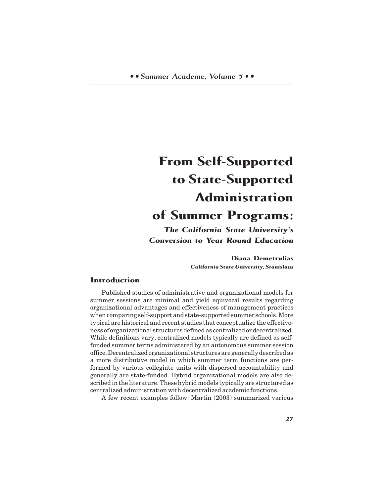# **From Self-Supported to State-Supported Administration of Summer Programs:**

*The California State University's Conversion to Year Round Education*

> **Diana Demetrulias** *California State University, Stanislaus*

# **Introduction**

Published studies of administrative and organizational models for summer sessions are minimal and yield equivocal results regarding organizational advantages and effectiveness of management practices when comparing self-support and state-supported summer schools. More typical are historical and recent studies that conceptualize the effectiveness of organizational structures defined as centralized or decentralized. While definitions vary, centralized models typically are defined as selffunded summer terms administered by an autonomous summer session office. Decentralized organizational structures are generally described as a more distributive model in which summer term functions are performed by various collegiate units with dispersed accountability and generally are state-funded. Hybrid organizational models are also described in the literature. These hybrid models typically are structured as centralized administration with decentralized academic functions.

A few recent examples follow: Martin (2003) summarized various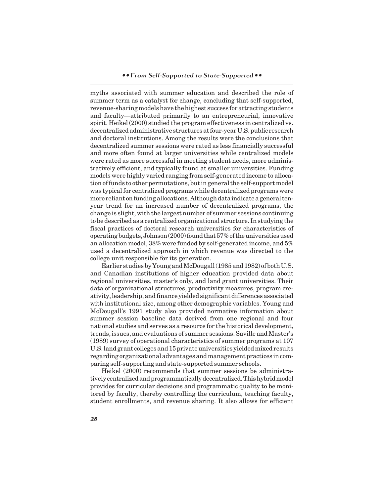myths associated with summer education and described the role of summer term as a catalyst for change, concluding that self-supported, revenue-sharing models have the highest success for attracting students and faculty—attributed primarily to an entrepreneurial, innovative spirit. Heikel (2000) studied the program effectiveness in centralized vs. decentralized administrative structures at four-year U.S. public research and doctoral institutions. Among the results were the conclusions that decentralized summer sessions were rated as less financially successful and more often found at larger universities while centralized models were rated as more successful in meeting student needs, more administratively efficient, and typically found at smaller universities. Funding models were highly varied ranging from self-generated income to allocation of funds to other permutations, but in general the self-support model was typical for centralized programs while decentralized programs were more reliant on funding allocations. Although data indicate a general tenyear trend for an increased number of decentralized programs, the change is slight, with the largest number of summer sessions continuing to be described as a centralized organizational structure. In studying the fiscal practices of doctoral research universities for characteristics of operating budgets, Johnson (2000) found that 57% of the universities used an allocation model, 38% were funded by self-generated income, and 5% used a decentralized approach in which revenue was directed to the college unit responsible for its generation.

Earlier studies by Young and McDougall (1985 and 1982) of both U.S. and Canadian institutions of higher education provided data about regional universities, master's only, and land grant universities. Their data of organizational structures, productivity measures, program creativity, leadership, and finance yielded significant differences associated with institutional size, among other demographic variables. Young and McDougall's 1991 study also provided normative information about summer session baseline data derived from one regional and four national studies and serves as a resource for the historical development, trends, issues, and evaluations of summer sessions. Saville and Master's (1989) survey of operational characteristics of summer programs at 107 U.S. land grant colleges and 15 private universities yielded mixed results regarding organizational advantages and management practices in comparing self-supporting and state-supported summer schools.

Heikel (2000) recommends that summer sessions be administratively centralized and programmatically decentralized. This hybrid model provides for curricular decisions and programmatic quality to be monitored by faculty, thereby controlling the curriculum, teaching faculty, student enrollments, and revenue sharing. It also allows for efficient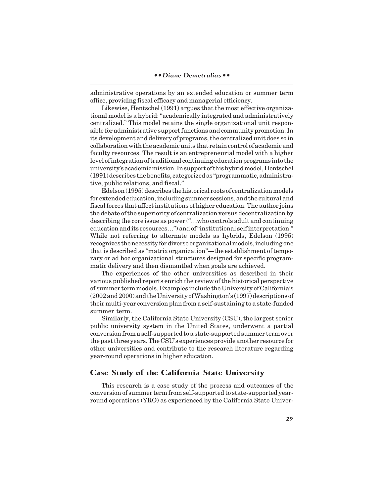administrative operations by an extended education or summer term office, providing fiscal efficacy and managerial efficiency.

Likewise, Hentschel (1991) argues that the most effective organizational model is a hybrid: "academically integrated and administratively centralized." This model retains the single organizational unit responsible for administrative support functions and community promotion. In its development and delivery of programs, the centralized unit does so in collaboration with the academic units that retain control of academic and faculty resources. The result is an entrepreneurial model with a higher level of integration of traditional continuing education programs into the university's academic mission. In support of this hybrid model, Hentschel (1991) describes the benefits, categorized as "programmatic, administrative, public relations, and fiscal."

Edelson (1995) describes the historical roots of centralization models for extended education, including summer sessions, and the cultural and fiscal forces that affect institutions of higher education. The author joins the debate of the superiority of centralization versus decentralization by describing the core issue as power ("…who controls adult and continuing education and its resources…") and of "institutional self interpretation." While not referring to alternate models as hybrids, Edelson (1995) recognizes the necessity for diverse organizational models, including one that is described as "matrix organization"—the establishment of temporary or ad hoc organizational structures designed for specific programmatic delivery and then dismantled when goals are achieved.

The experiences of the other universities as described in their various published reports enrich the review of the historical perspective of summer term models. Examples include the University of California's (2002 and 2000) and the University of Washington's (1997) descriptions of their multi-year conversion plan from a self-sustaining to a state-funded summer term.

Similarly, the California State University (CSU), the largest senior public university system in the United States, underwent a partial conversion from a self-supported to a state-supported summer term over the past three years. The CSU's experiences provide another resource for other universities and contribute to the research literature regarding year-round operations in higher education.

# **Case Study of the California State University**

This research is a case study of the process and outcomes of the conversion of summer term from self-supported to state-supported yearround operations (YRO) as experienced by the California State Univer-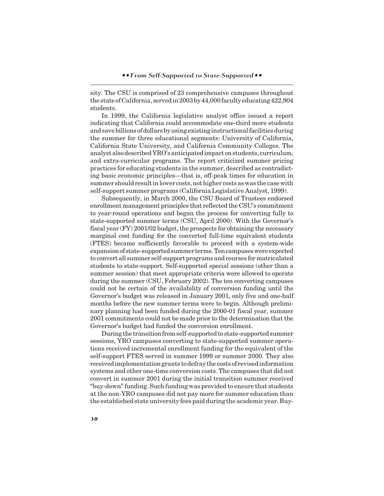sity. The CSU is comprised of 23 comprehensive campuses throughout the state of California, served in 2003 by 44,000 faculty educating 422,904 students.

In 1999, the California legislative analyst office issued a report indicating that California could accommodate one-third more students and save billions of dollars by using existing instructional facilities during the summer for three educational segments: University of California, California State University, and California Community Colleges. The analyst also described YRO's anticipated impact on students, curriculum, and extra-curricular programs. The report criticized summer pricing practices for educating students in the summer, described as contradicting basic economic principles—that is, off-peak times for education in summer should result in lower costs, not higher costs as was the case with self-support summer programs (California Legislative Analyst, 1999).

Subsequently, in March 2000, the CSU Board of Trustees endorsed enrollment management principles that reflected the CSU's commitment to year-round operations and began the process for converting fully to state-supported summer terms (CSU, April 2000). With the Governor's fiscal year (FY) 2001/02 budget, the prospects for obtaining the necessary marginal cost funding for the converted full-time equivalent students (FTES) became sufficiently favorable to proceed with a system-wide expansion of state-supported summer terms. Ten campuses were expected to convert all summer self-support programs and courses for matriculated students to state-support. Self-supported special sessions (other than a summer session) that meet appropriate criteria were allowed to operate during the summer (CSU, February 2002). The ten converting campuses could not be certain of the availability of conversion funding until the Governor's budget was released in January 2001, only five and one-half months before the new summer terms were to begin. Although preliminary planning had been funded during the 2000-01 fiscal year, summer 2001 commitments could not be made prior to the determination that the Governor's budget had funded the conversion enrollment.

During the transition from self-supported to state-supported summer sessions, YRO campuses converting to state-supported summer operations received incremental enrollment funding for the equivalent of the self-support FTES served in summer 1999 or summer 2000. They also received implementation grants to defray the costs of revised information systems and other one-time conversion costs. The campuses that did not convert in summer 2001 during the initial transition summer received "buy-down" funding. Such funding was provided to ensure that students at the non-YRO campuses did not pay more for summer education than the established state university fees paid during the academic year. Buy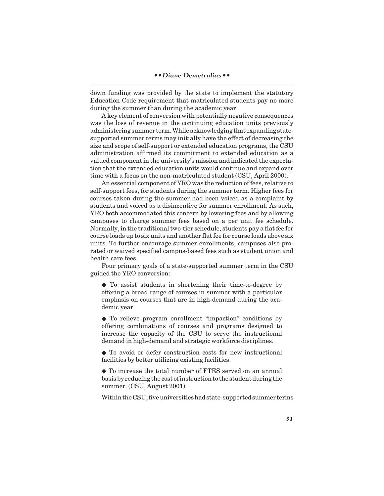down funding was provided by the state to implement the statutory Education Code requirement that matriculated students pay no more during the summer than during the academic year.

A key element of conversion with potentially negative consequences was the loss of revenue in the continuing education units previously administering summer term. While acknowledging that expanding statesupported summer terms may initially have the effect of decreasing the size and scope of self-support or extended education programs, the CSU administration affirmed its commitment to extended education as a valued component in the university's mission and indicated the expectation that the extended education units would continue and expand over time with a focus on the non-matriculated student (CSU, April 2000).

An essential component of YRO was the reduction of fees, relative to self-support fees, for students during the summer term. Higher fees for courses taken during the summer had been voiced as a complaint by students and voiced as a disincentive for summer enrollment. As such, YRO both accommodated this concern by lowering fees and by allowing campuses to charge summer fees based on a per unit fee schedule. Normally, in the traditional two-tier schedule, students pay a flat fee for course loads up to six units and another flat fee for course loads above six units. To further encourage summer enrollments, campuses also prorated or waived specified campus-based fees such as student union and health care fees.

Four primary goals of a state-supported summer term in the CSU guided the YRO conversion:

◆ To assist students in shortening their time-to-degree by offering a broad range of courses in summer with a particular emphasis on courses that are in high-demand during the academic year.

◆ To relieve program enrollment "impaction" conditions by offering combinations of courses and programs designed to increase the capacity of the CSU to serve the instructional demand in high-demand and strategic workforce disciplines.

◆ To avoid or defer construction costs for new instructional facilities by better utilizing existing facilities.

◆ To increase the total number of FTES served on an annual basis by reducing the cost of instruction to the student during the summer. (CSU, August 2001)

Within the CSU, five universities had state-supported summer terms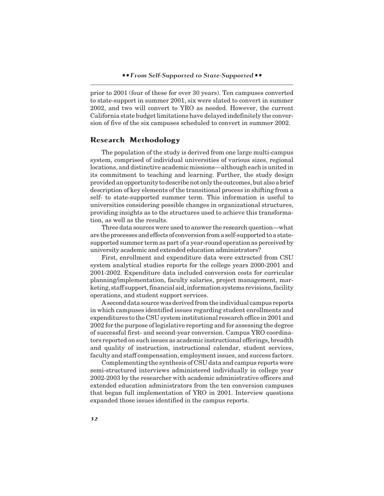prior to 2001 (four of these for over 30 years). Ten campuses converted to state-support in summer 2001, six were slated to convert in summer 2002, and two will convert to YRO as needed. However, the current California state budget limitations have delayed indefinitely the conversion of five of the six campuses scheduled to convert in summer 2002.

#### **Research Methodology**

The population of the study is derived from one large multi-campus system, comprised of individual universities of various sizes, regional locations, and distinctive academic missions—although each is united in its commitment to teaching and learning. Further, the study design provided an opportunity to describe not only the outcomes, but also a brief description of key elements of the transitional process in shifting from a self- to state-supported summer term. This information is useful to universities considering possible changes in organizational structures, providing insights as to the structures used to achieve this transformation, as well as the results.

Three data sources were used to answer the research question—what are the processes and effects of conversion from a self-supported to a statesupported summer term as part of a year-round operation as perceived by university academic and extended education administrators?

First, enrollment and expenditure data were extracted from CSU system analytical studies reports for the college years 2000-2001 and 2001-2002. Expenditure data included conversion costs for curricular planning/implementation, faculty salaries, project management, marketing, staff support, financial aid, information systems revisions, facility operations, and student support services.

A second data source was derived from the individual campus reports in which campuses identified issues regarding student enrollments and expenditures to the CSU system institutional research office in 2001 and 2002 for the purpose of legislative reporting and for assessing the degree of successful first- and second-year conversion. Campus YRO coordinators reported on such issues as academic instructional offerings, breadth and quality of instruction, instructional calendar, student services, faculty and staff compensation, employment issues, and success factors.

Complementing the synthesis of CSU data and campus reports were semi-structured interviews administered individually in college year 2002-2003 by the researcher with academic administrative officers and extended education administrators from the ten conversion campuses that began full implementation of YRO in 2001. Interview questions expanded those issues identified in the campus reports.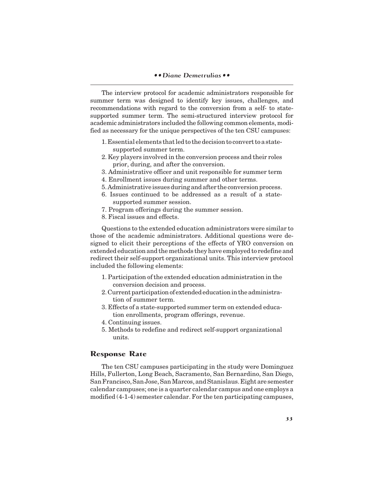#### *• • Diane Demetrulias • •*

The interview protocol for academic administrators responsible for summer term was designed to identify key issues, challenges, and recommendations with regard to the conversion from a self- to statesupported summer term. The semi-structured interview protocol for academic administrators included the following common elements, modified as necessary for the unique perspectives of the ten CSU campuses:

- 1. Essential elements that led to the decision to convert to a statesupported summer term.
- 2. Key players involved in the conversion process and their roles prior, during, and after the conversion.
- 3. Administrative officer and unit responsible for summer term
- 4. Enrollment issues during summer and other terms.
- 5. Administrative issues during and after the conversion process.
- 6. Issues continued to be addressed as a result of a statesupported summer session.
- 7. Program offerings during the summer session.
- 8. Fiscal issues and effects.

Questions to the extended education administrators were similar to those of the academic administrators. Additional questions were designed to elicit their perceptions of the effects of YRO conversion on extended education and the methods they have employed to redefine and redirect their self-support organizational units. This interview protocol included the following elements:

- 1. Participation of the extended education administration in the conversion decision and process.
- 2. Current participation of extended education in the administration of summer term.
- 3. Effects of a state-supported summer term on extended education enrollments, program offerings, revenue.
- 4. Continuing issues.
- 5. Methods to redefine and redirect self-support organizational units.

## **Response Rate**

The ten CSU campuses participating in the study were Dominguez Hills, Fullerton, Long Beach, Sacramento, San Bernardino, San Diego, San Francisco, San Jose, San Marcos, and Stanislaus. Eight are semester calendar campuses; one is a quarter calendar campus and one employs a modified (4-1-4) semester calendar. For the ten participating campuses,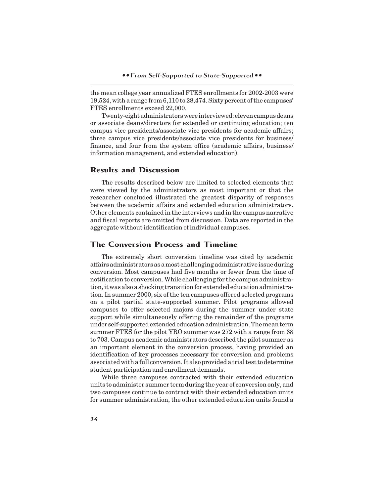the mean college year annualized FTES enrollments for 2002-2003 were 19,524, with a range from 6,110 to 28,474. Sixty percent of the campuses' FTES enrollments exceed 22,000.

Twenty-eight administrators were interviewed: eleven campus deans or associate deans/directors for extended or continuing education; ten campus vice presidents/associate vice presidents for academic affairs; three campus vice presidents/associate vice presidents for business/ finance, and four from the system office (academic affairs, business/ information management, and extended education).

## **Results and Discussion**

The results described below are limited to selected elements that were viewed by the administrators as most important or that the researcher concluded illustrated the greatest disparity of responses between the academic affairs and extended education administrators. Other elements contained in the interviews and in the campus narrative and fiscal reports are omitted from discussion. Data are reported in the aggregate without identification of individual campuses.

## **The Conversion Process and Timeline**

The extremely short conversion timeline was cited by academic affairs administrators as a most challenging administrative issue during conversion. Most campuses had five months or fewer from the time of notification to conversion. While challenging for the campus administration, it was also a shocking transition for extended education administration. In summer 2000, six of the ten campuses offered selected programs on a pilot partial state-supported summer. Pilot programs allowed campuses to offer selected majors during the summer under state support while simultaneously offering the remainder of the programs under self-supported extended education administration. The mean term summer FTES for the pilot YRO summer was 272 with a range from 68 to 703. Campus academic administrators described the pilot summer as an important element in the conversion process, having provided an identification of key processes necessary for conversion and problems associated with a full conversion. It also provided a trial test to determine student participation and enrollment demands.

While three campuses contracted with their extended education units to administer summer term during the year of conversion only, and two campuses continue to contract with their extended education units for summer administration, the other extended education units found a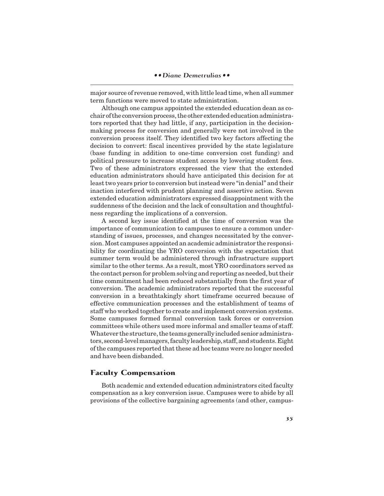major source of revenue removed, with little lead time, when all summer term functions were moved to state administration.

Although one campus appointed the extended education dean as cochair of the conversion process, the other extended education administrators reported that they had little, if any, participation in the decisionmaking process for conversion and generally were not involved in the conversion process itself. They identified two key factors affecting the decision to convert: fiscal incentives provided by the state legislature (base funding in addition to one-time conversion cost funding) and political pressure to increase student access by lowering student fees. Two of these administrators expressed the view that the extended education administrators should have anticipated this decision for at least two years prior to conversion but instead were "in denial" and their inaction interfered with prudent planning and assertive action. Seven extended education administrators expressed disappointment with the suddenness of the decision and the lack of consultation and thoughtfulness regarding the implications of a conversion.

A second key issue identified at the time of conversion was the importance of communication to campuses to ensure a common understanding of issues, processes, and changes necessitated by the conversion. Most campuses appointed an academic administrator the responsibility for coordinating the YRO conversion with the expectation that summer term would be administered through infrastructure support similar to the other terms. As a result, most YRO coordinators served as the contact person for problem solving and reporting as needed, but their time commitment had been reduced substantially from the first year of conversion. The academic administrators reported that the successful conversion in a breathtakingly short timeframe occurred because of effective communication processes and the establishment of teams of staff who worked together to create and implement conversion systems. Some campuses formed formal conversion task forces or conversion committees while others used more informal and smaller teams of staff. Whatever the structure, the teams generally included senior administrators, second-level managers, faculty leadership, staff, and students. Eight of the campuses reported that these ad hoc teams were no longer needed and have been disbanded.

## **Faculty Compensation**

Both academic and extended education administrators cited faculty compensation as a key conversion issue. Campuses were to abide by all provisions of the collective bargaining agreements (and other, campus-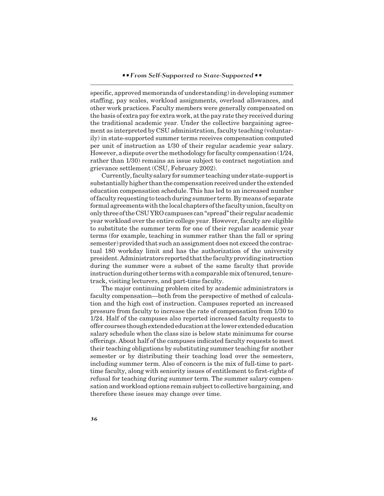specific, approved memoranda of understanding) in developing summer staffing, pay scales, workload assignments, overload allowances, and other work practices. Faculty members were generally compensated on the basis of extra pay for extra work, at the pay rate they received during the traditional academic year. Under the collective bargaining agreement as interpreted by CSU administration, faculty teaching (voluntarily) in state-supported summer terms receives compensation computed per unit of instruction as 1/30 of their regular academic year salary. However, a dispute over the methodology for faculty compensation (1/24, rather than 1/30) remains an issue subject to contract negotiation and grievance settlement (CSU, February 2002).

Currently, faculty salary for summer teaching under state-support is substantially higher than the compensation received under the extended education compensation schedule. This has led to an increased number of faculty requesting to teach during summer term. By means of separate formal agreements with the local chapters of the faculty union, faculty on only three of the CSU YRO campuses can "spread" their regular academic year workload over the entire college year. However, faculty are eligible to substitute the summer term for one of their regular academic year terms (for example, teaching in summer rather than the fall or spring semester) provided that such an assignment does not exceed the contractual 180 workday limit and has the authorization of the university president. Administrators reported that the faculty providing instruction during the summer were a subset of the same faculty that provide instruction during other terms with a comparable mix of tenured, tenuretrack, visiting lecturers, and part-time faculty.

The major continuing problem cited by academic administrators is faculty compensation—both from the perspective of method of calculation and the high cost of instruction. Campuses reported an increased pressure from faculty to increase the rate of compensation from 1/30 to 1/24. Half of the campuses also reported increased faculty requests to offer courses though extended education at the lower extended education salary schedule when the class size is below state minimums for course offerings. About half of the campuses indicated faculty requests to meet their teaching obligations by substituting summer teaching for another semester or by distributing their teaching load over the semesters, including summer term. Also of concern is the mix of full-time to parttime faculty, along with seniority issues of entitlement to first-rights of refusal for teaching during summer term. The summer salary compensation and workload options remain subject to collective bargaining, and therefore these issues may change over time.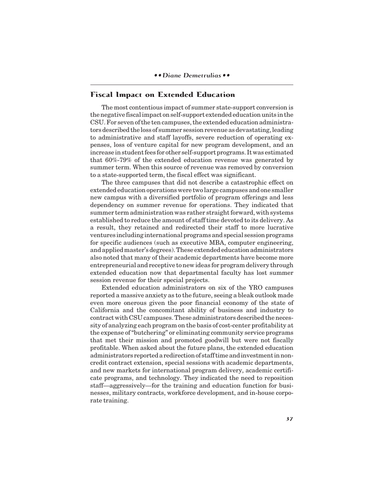# **Fiscal Impact on Extended Education**

The most contentious impact of summer state-support conversion is the negative fiscal impact on self-support extended education units in the CSU. For seven of the ten campuses, the extended education administrators described the loss of summer session revenue as devastating, leading to administrative and staff layoffs, severe reduction of operating expenses, loss of venture capital for new program development, and an increase in student fees for other self-support programs. It was estimated that 60%-79% of the extended education revenue was generated by summer term. When this source of revenue was removed by conversion to a state-supported term, the fiscal effect was significant.

The three campuses that did not describe a catastrophic effect on extended education operations were two large campuses and one smaller new campus with a diversified portfolio of program offerings and less dependency on summer revenue for operations. They indicated that summer term administration was rather straight forward, with systems established to reduce the amount of staff time devoted to its delivery. As a result, they retained and redirected their staff to more lucrative ventures including international programs and special session programs for specific audiences (such as executive MBA, computer engineering, and applied master's degrees). These extended education administrators also noted that many of their academic departments have become more entrepreneurial and receptive to new ideas for program delivery through extended education now that departmental faculty has lost summer session revenue for their special projects.

Extended education administrators on six of the YRO campuses reported a massive anxiety as to the future, seeing a bleak outlook made even more onerous given the poor financial economy of the state of California and the concomitant ability of business and industry to contract with CSU campuses. These administrators described the necessity of analyzing each program on the basis of cost-center profitability at the expense of "butchering" or eliminating community service programs that met their mission and promoted goodwill but were not fiscally profitable. When asked about the future plans, the extended education administrators reported a redirection of staff time and investment in noncredit contract extension, special sessions with academic departments, and new markets for international program delivery, academic certificate programs, and technology. They indicated the need to reposition staff—aggressively—for the training and education function for businesses, military contracts, workforce development, and in-house corporate training.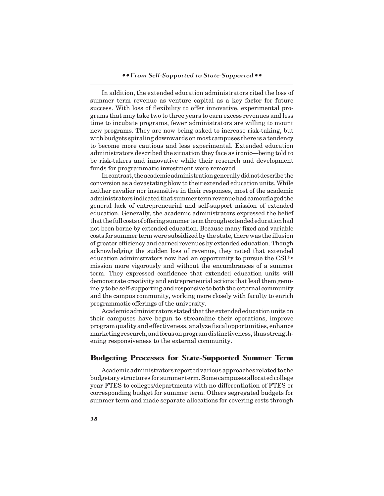#### *• • From Self-Supported to State-Supported • •*

In addition, the extended education administrators cited the loss of summer term revenue as venture capital as a key factor for future success. With loss of flexibility to offer innovative, experimental programs that may take two to three years to earn excess revenues and less time to incubate programs, fewer administrators are willing to mount new programs. They are now being asked to increase risk-taking, but with budgets spiraling downwards on most campuses there is a tendency to become more cautious and less experimental. Extended education administrators described the situation they face as ironic—being told to be risk-takers and innovative while their research and development funds for programmatic investment were removed.

In contrast, the academic administration generally did not describe the conversion as a devastating blow to their extended education units. While neither cavalier nor insensitive in their responses, most of the academic administrators indicated that summer term revenue had camouflaged the general lack of entrepreneurial and self-support mission of extended education. Generally, the academic administrators expressed the belief that the full costs of offering summer term through extended education had not been borne by extended education. Because many fixed and variable costs for summer term were subsidized by the state, there was the illusion of greater efficiency and earned revenues by extended education. Though acknowledging the sudden loss of revenue, they noted that extended education administrators now had an opportunity to pursue the CSU's mission more vigorously and without the encumbrances of a summer term. They expressed confidence that extended education units will demonstrate creativity and entrepreneurial actions that lead them genuinely to be self-supporting and responsive to both the external community and the campus community, working more closely with faculty to enrich programmatic offerings of the university.

Academic administrators stated that the extended education units on their campuses have begun to streamline their operations, improve program quality and effectiveness, analyze fiscal opportunities, enhance marketing research, and focus on program distinctiveness, thus strengthening responsiveness to the external community.

## **Budgeting Processes for State-Supported Summer Term**

Academic administrators reported various approaches related to the budgetary structures for summer term. Some campuses allocated college year FTES to colleges/departments with no differentiation of FTES or corresponding budget for summer term. Others segregated budgets for summer term and made separate allocations for covering costs through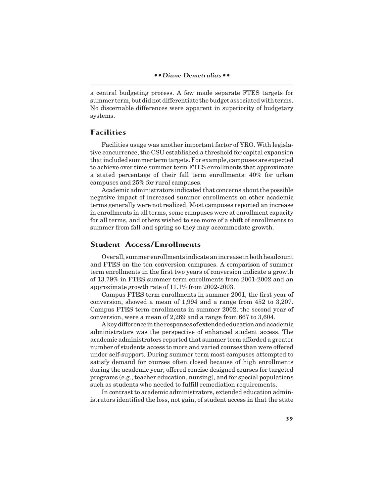a central budgeting process. A few made separate FTES targets for summer term, but did not differentiate the budget associated with terms. No discernable differences were apparent in superiority of budgetary systems.

# **Facilities**

Facilities usage was another important factor of YRO. With legislative concurrence, the CSU established a threshold for capital expansion that included summer term targets. For example, campuses are expected to achieve over time summer term FTES enrollments that approximate a stated percentage of their fall term enrollments: 40% for urban campuses and 25% for rural campuses.

Academic administrators indicated that concerns about the possible negative impact of increased summer enrollments on other academic terms generally were not realized. Most campuses reported an increase in enrollments in all terms, some campuses were at enrollment capacity for all terms, and others wished to see more of a shift of enrollments to summer from fall and spring so they may accommodate growth.

# **Student Access/Enrollments**

Overall, summer enrollments indicate an increase in both headcount and FTES on the ten conversion campuses. A comparison of summer term enrollments in the first two years of conversion indicate a growth of 13.79% in FTES summer term enrollments from 2001-2002 and an approximate growth rate of 11.1% from 2002-2003.

Campus FTES term enrollments in summer 2001, the first year of conversion, showed a mean of 1,994 and a range from 452 to 3,207. Campus FTES term enrollments in summer 2002, the second year of conversion, were a mean of 2,269 and a range from 667 to 3,604.

A key difference in the responses of extended education and academic administrators was the perspective of enhanced student access. The academic administrators reported that summer term afforded a greater number of students access to more and varied courses than were offered under self-support. During summer term most campuses attempted to satisfy demand for courses often closed because of high enrollments during the academic year, offered concise designed courses for targeted programs (e.g., teacher education, nursing), and for special populations such as students who needed to fulfill remediation requirements.

In contrast to academic administrators, extended education administrators identified the loss, not gain, of student access in that the state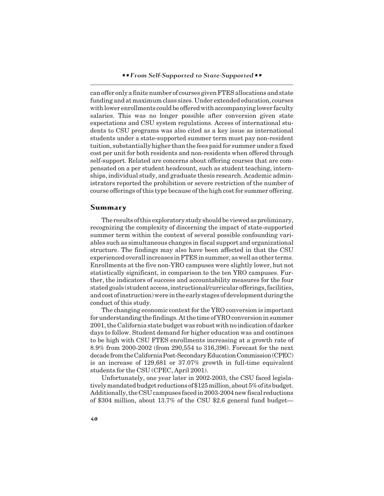can offer only a finite number of courses given FTES allocations and state funding and at maximum class sizes. Under extended education, courses with lower enrollments could be offered with accompanying lower faculty salaries. This was no longer possible after conversion given state expectations and CSU system regulations. Access of international students to CSU programs was also cited as a key issue as international students under a state-supported summer term must pay non-resident tuition, substantially higher than the fees paid for summer under a fixed cost per unit for both residents and non-residents when offered through self-support. Related are concerns about offering courses that are compensated on a per student headcount, such as student teaching, internships, individual study, and graduate thesis research. Academic administrators reported the prohibition or severe restriction of the number of course offerings of this type because of the high cost for summer offering.

#### **Summary**

The results of this exploratory study should be viewed as preliminary, recognizing the complexity of discerning the impact of state-supported summer term within the context of several possible confounding variables such as simultaneous changes in fiscal support and organizational structure. The findings may also have been affected in that the CSU experienced overall increases in FTES in summer, as well as other terms. Enrollments at the five non-YRO campuses were slightly lower, but not statistically significant, in comparison to the ten YRO campuses. Further, the indicators of success and accountability measures for the four stated goals (student access, instructional/curricular offerings, facilities, and cost of instruction) were in the early stages of development during the conduct of this study.

The changing economic context for the YRO conversion is important for understanding the findings. At the time of YRO conversion in summer 2001, the California state budget was robust with no indication of darker days to follow. Student demand for higher education was and continues to be high with CSU FTES enrollments increasing at a growth rate of 8.9% from 2000-2002 (from 290,554 to 316,396). Forecast for the next decade from the California Post-Secondary Education Commission (CPEC) is an increase of 129,681 or 37.07% growth in full-time equivalent students for the CSU (CPEC, April 2001).

Unfortunately, one year later in 2002-2003, the CSU faced legislatively mandated budget reductions of \$125 million, about 5% of its budget. Additionally, the CSU campuses faced in 2003-2004 new fiscal reductions of \$304 million, about 13.7% of the CSU \$2.6 general fund budget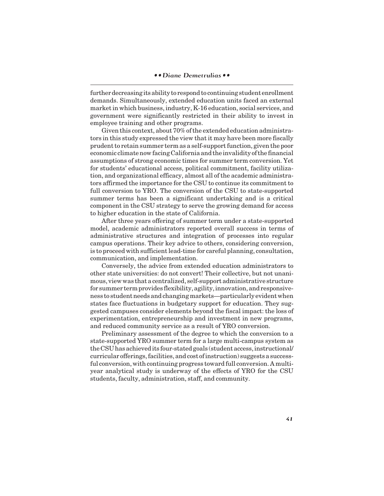further decreasing its ability to respond to continuing student enrollment demands. Simultaneously, extended education units faced an external market in which business, industry, K-16 education, social services, and government were significantly restricted in their ability to invest in employee training and other programs.

Given this context, about 70% of the extended education administrators in this study expressed the view that it may have been more fiscally prudent to retain summer term as a self-support function, given the poor economic climate now facing California and the invalidity of the financial assumptions of strong economic times for summer term conversion. Yet for students' educational access, political commitment, facility utilization, and organizational efficacy, almost all of the academic administrators affirmed the importance for the CSU to continue its commitment to full conversion to YRO. The conversion of the CSU to state-supported summer terms has been a significant undertaking and is a critical component in the CSU strategy to serve the growing demand for access to higher education in the state of California.

After three years offering of summer term under a state-supported model, academic administrators reported overall success in terms of administrative structures and integration of processes into regular campus operations. Their key advice to others, considering conversion, is to proceed with sufficient lead-time for careful planning, consultation, communication, and implementation.

Conversely, the advice from extended education administrators to other state universities: do not convert! Their collective, but not unanimous, view was that a centralized, self-support administrative structure for summer term provides flexibility, agility, innovation, and responsiveness to student needs and changing markets—particularly evident when states face fluctuations in budgetary support for education. They suggested campuses consider elements beyond the fiscal impact: the loss of experimentation, entrepreneurship and investment in new programs, and reduced community service as a result of YRO conversion.

Preliminary assessment of the degree to which the conversion to a state-supported YRO summer term for a large multi-campus system as the CSU has achieved its four-stated goals (student access, instructional/ curricular offerings, facilities, and cost of instruction) suggests a successful conversion, with continuing progress toward full conversion. A multiyear analytical study is underway of the effects of YRO for the CSU students, faculty, administration, staff, and community.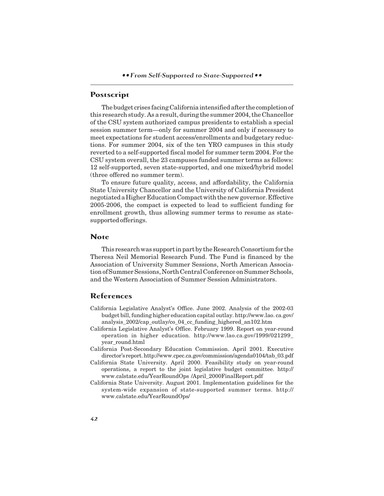*• • From Self-Supported to State-Supported • •*

# **Postscript**

The budget crises facing California intensified after the completion of this research study. As a result, during the summer 2004, the Chancellor of the CSU system authorized campus presidents to establish a special session summer term—only for summer 2004 and only if necessary to meet expectations for student access/enrollments and budgetary reductions. For summer 2004, six of the ten YRO campuses in this study reverted to a self-supported fiscal model for summer term 2004. For the CSU system overall, the 23 campuses funded summer terms as follows: 12 self-supported, seven state-supported, and one mixed/hybrid model (three offered no summer term).

To ensure future quality, access, and affordability, the California State University Chancellor and the University of California President negotiated a Higher Education Compact with the new governor. Effective 2005-2006, the compact is expected to lead to sufficient funding for enrollment growth, thus allowing summer terms to resume as statesupported offerings.

## **Note**

This research was support in part by the Research Consortium for the Theresa Neil Memorial Research Fund. The Fund is financed by the Association of University Summer Sessions, North American Association of Summer Sessions, North Central Conference on Summer Schools, and the Western Association of Summer Session Administrators.

# **References**

- California Legislative Analyst's Office. June 2002. Analysis of the 2002-03 budget bill, funding higher education capital outlay. http://www.lao. ca.gov/ analysis\_2002/cap\_outlay/co\_04\_cc\_funding\_highered\_an102.htm
- California Legislative Analyst's Office. February 1999. Report on year-round operation in higher education. http://www.lao.ca.gov/1999/021299\_ year\_round.html
- California Post-Secondary Education Commission. April 2001. Executive director's report. http://www.cpec.ca.gov/commission/agenda0104/tab\_03.pdf
- California State University. April 2000. Feasibility study on year-round operations, a report to the joint legislative budget committee. http:// www.calstate.edu/YearRoundOps /April\_2000FinalReport.pdf
- California State University. August 2001. Implementation guidelines for the system-wide expansion of state-supported summer terms. http:// www.calstate.edu/YearRoundOps/